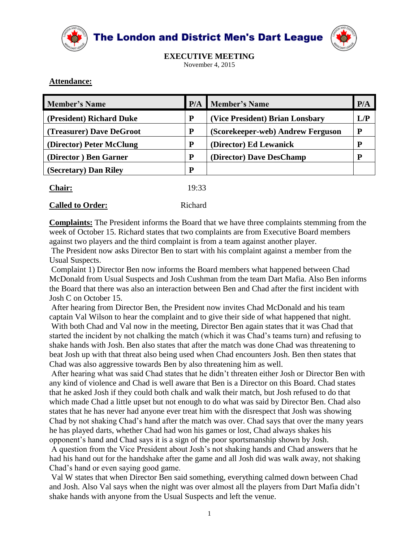



**EXECUTIVE MEETING** November 4, 2015

### **Attendance:**

| <b>Member's Name</b>     | P/A | <b>Member's Name</b>              | P/A |
|--------------------------|-----|-----------------------------------|-----|
| (President) Richard Duke | P   | (Vice President) Brian Lonsbary   | L/P |
| (Treasurer) Dave DeGroot | P   | (Scorekeeper-web) Andrew Ferguson |     |
| (Director) Peter McClung | P   | (Director) Ed Lewanick            | p   |
| (Director) Ben Garner    | P   | (Director) Dave DesChamp          | D   |
| (Secretary) Dan Riley    | P   |                                   |     |
|                          |     |                                   |     |

| <b>Chair:</b> | 19:33 |
|---------------|-------|
|               |       |

#### **Called to Order:** Richard

**Complaints:** The President informs the Board that we have three complaints stemming from the week of October 15. Richard states that two complaints are from Executive Board members against two players and the third complaint is from a team against another player.

The President now asks Director Ben to start with his complaint against a member from the Usual Suspects.

Complaint 1) Director Ben now informs the Board members what happened between Chad McDonald from Usual Suspects and Josh Cushman from the team Dart Mafia. Also Ben informs the Board that there was also an interaction between Ben and Chad after the first incident with Josh C on October 15.

After hearing from Director Ben, the President now invites Chad McDonald and his team captain Val Wilson to hear the complaint and to give their side of what happened that night. With both Chad and Val now in the meeting, Director Ben again states that it was Chad that started the incident by not chalking the match (which it was Chad's teams turn) and refusing to shake hands with Josh. Ben also states that after the match was done Chad was threatening to beat Josh up with that threat also being used when Chad encounters Josh. Ben then states that Chad was also aggressive towards Ben by also threatening him as well.

After hearing what was said Chad states that he didn't threaten either Josh or Director Ben with any kind of violence and Chad is well aware that Ben is a Director on this Board. Chad states that he asked Josh if they could both chalk and walk their match, but Josh refused to do that which made Chad a little upset but not enough to do what was said by Director Ben. Chad also states that he has never had anyone ever treat him with the disrespect that Josh was showing Chad by not shaking Chad's hand after the match was over. Chad says that over the many years he has played darts, whether Chad had won his games or lost, Chad always shakes his opponent's hand and Chad says it is a sign of the poor sportsmanship shown by Josh.

A question from the Vice President about Josh's not shaking hands and Chad answers that he had his hand out for the handshake after the game and all Josh did was walk away, not shaking Chad's hand or even saying good game.

Val W states that when Director Ben said something, everything calmed down between Chad and Josh. Also Val says when the night was over almost all the players from Dart Mafia didn't shake hands with anyone from the Usual Suspects and left the venue.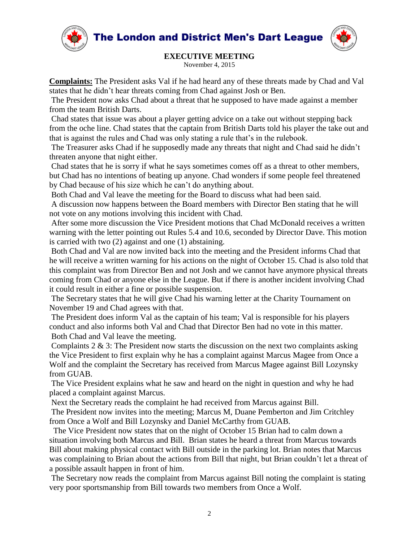



### **EXECUTIVE MEETING**

November 4, 2015

**Complaints:** The President asks Val if he had heard any of these threats made by Chad and Val states that he didn't hear threats coming from Chad against Josh or Ben.

The President now asks Chad about a threat that he supposed to have made against a member from the team British Darts.

Chad states that issue was about a player getting advice on a take out without stepping back from the oche line. Chad states that the captain from British Darts told his player the take out and that is against the rules and Chad was only stating a rule that's in the rulebook.

The Treasurer asks Chad if he supposedly made any threats that night and Chad said he didn't threaten anyone that night either.

Chad states that he is sorry if what he says sometimes comes off as a threat to other members, but Chad has no intentions of beating up anyone. Chad wonders if some people feel threatened by Chad because of his size which he can't do anything about.

Both Chad and Val leave the meeting for the Board to discuss what had been said.

A discussion now happens between the Board members with Director Ben stating that he will not vote on any motions involving this incident with Chad.

After some more discussion the Vice President motions that Chad McDonald receives a written warning with the letter pointing out Rules 5.4 and 10.6, seconded by Director Dave. This motion is carried with two (2) against and one (1) abstaining.

Both Chad and Val are now invited back into the meeting and the President informs Chad that he will receive a written warning for his actions on the night of October 15. Chad is also told that this complaint was from Director Ben and not Josh and we cannot have anymore physical threats coming from Chad or anyone else in the League. But if there is another incident involving Chad it could result in either a fine or possible suspension.

The Secretary states that he will give Chad his warning letter at the Charity Tournament on November 19 and Chad agrees with that.

The President does inform Val as the captain of his team; Val is responsible for his players conduct and also informs both Val and Chad that Director Ben had no vote in this matter. Both Chad and Val leave the meeting.

Complaints 2 & 3: The President now starts the discussion on the next two complaints asking the Vice President to first explain why he has a complaint against Marcus Magee from Once a Wolf and the complaint the Secretary has received from Marcus Magee against Bill Lozynsky from GUAB.

The Vice President explains what he saw and heard on the night in question and why he had placed a complaint against Marcus.

Next the Secretary reads the complaint he had received from Marcus against Bill.

The President now invites into the meeting; Marcus M, Duane Pemberton and Jim Critchley from Once a Wolf and Bill Lozynsky and Daniel McCarthy from GUAB.

The Vice President now states that on the night of October 15 Brian had to calm down a situation involving both Marcus and Bill. Brian states he heard a threat from Marcus towards Bill about making physical contact with Bill outside in the parking lot. Brian notes that Marcus was complaining to Brian about the actions from Bill that night, but Brian couldn't let a threat of a possible assault happen in front of him.

The Secretary now reads the complaint from Marcus against Bill noting the complaint is stating very poor sportsmanship from Bill towards two members from Once a Wolf.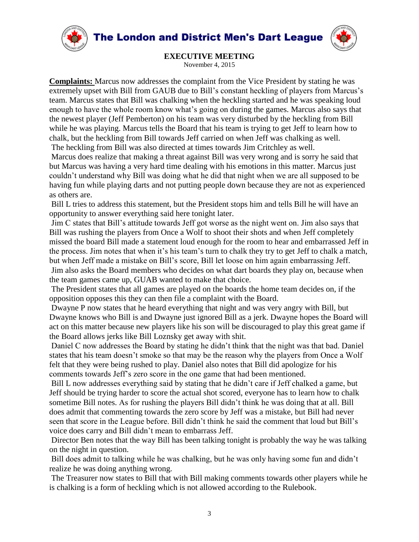



**EXECUTIVE MEETING**

November 4, 2015

**Complaints:** Marcus now addresses the complaint from the Vice President by stating he was extremely upset with Bill from GAUB due to Bill's constant heckling of players from Marcus's team. Marcus states that Bill was chalking when the heckling started and he was speaking loud enough to have the whole room know what's going on during the games. Marcus also says that the newest player (Jeff Pemberton) on his team was very disturbed by the heckling from Bill while he was playing. Marcus tells the Board that his team is trying to get Jeff to learn how to chalk, but the heckling from Bill towards Jeff carried on when Jeff was chalking as well. The heckling from Bill was also directed at times towards Jim Critchley as well.

Marcus does realize that making a threat against Bill was very wrong and is sorry he said that but Marcus was having a very hard time dealing with his emotions in this matter. Marcus just couldn't understand why Bill was doing what he did that night when we are all supposed to be having fun while playing darts and not putting people down because they are not as experienced as others are.

Bill L tries to address this statement, but the President stops him and tells Bill he will have an opportunity to answer everything said here tonight later.

Jim C states that Bill's attitude towards Jeff got worse as the night went on. Jim also says that Bill was rushing the players from Once a Wolf to shoot their shots and when Jeff completely missed the board Bill made a statement loud enough for the room to hear and embarrassed Jeff in the process. Jim notes that when it's his team's turn to chalk they try to get Jeff to chalk a match, but when Jeff made a mistake on Bill's score, Bill let loose on him again embarrassing Jeff. Jim also asks the Board members who decides on what dart boards they play on, because when the team games came up, GUAB wanted to make that choice.

The President states that all games are played on the boards the home team decides on, if the opposition opposes this they can then file a complaint with the Board.

Dwayne P now states that he heard everything that night and was very angry with Bill, but Dwayne knows who Bill is and Dwayne just ignored Bill as a jerk. Dwayne hopes the Board will act on this matter because new players like his son will be discouraged to play this great game if the Board allows jerks like Bill Loznsky get away with shit.

Daniel C now addresses the Board by stating he didn't think that the night was that bad. Daniel states that his team doesn't smoke so that may be the reason why the players from Once a Wolf felt that they were being rushed to play. Daniel also notes that Bill did apologize for his comments towards Jeff's zero score in the one game that had been mentioned.

Bill L now addresses everything said by stating that he didn't care if Jeff chalked a game, but Jeff should be trying harder to score the actual shot scored, everyone has to learn how to chalk sometime Bill notes. As for rushing the players Bill didn't think he was doing that at all. Bill does admit that commenting towards the zero score by Jeff was a mistake, but Bill had never seen that score in the League before. Bill didn't think he said the comment that loud but Bill's voice does carry and Bill didn't mean to embarrass Jeff.

Director Ben notes that the way Bill has been talking tonight is probably the way he was talking on the night in question.

Bill does admit to talking while he was chalking, but he was only having some fun and didn't realize he was doing anything wrong.

The Treasurer now states to Bill that with Bill making comments towards other players while he is chalking is a form of heckling which is not allowed according to the Rulebook.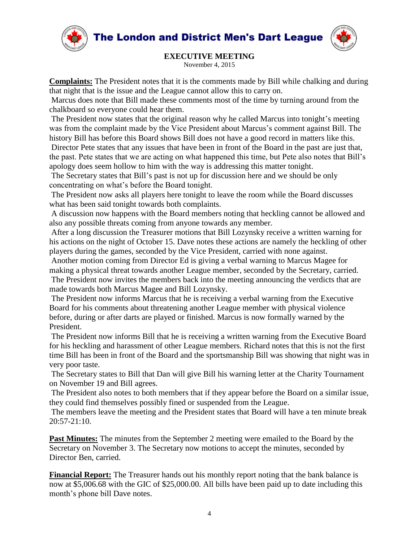





# **EXECUTIVE MEETING**

November 4, 2015

**Complaints:** The President notes that it is the comments made by Bill while chalking and during that night that is the issue and the League cannot allow this to carry on.

Marcus does note that Bill made these comments most of the time by turning around from the chalkboard so everyone could hear them.

The President now states that the original reason why he called Marcus into tonight's meeting was from the complaint made by the Vice President about Marcus's comment against Bill. The history Bill has before this Board shows Bill does not have a good record in matters like this. Director Pete states that any issues that have been in front of the Board in the past are just that, the past. Pete states that we are acting on what happened this time, but Pete also notes that Bill's apology does seem hollow to him with the way is addressing this matter tonight.

The Secretary states that Bill's past is not up for discussion here and we should be only concentrating on what's before the Board tonight.

The President now asks all players here tonight to leave the room while the Board discusses what has been said tonight towards both complaints.

A discussion now happens with the Board members noting that heckling cannot be allowed and also any possible threats coming from anyone towards any member.

After a long discussion the Treasurer motions that Bill Lozynsky receive a written warning for his actions on the night of October 15. Dave notes these actions are namely the heckling of other players during the games, seconded by the Vice President, carried with none against.

Another motion coming from Director Ed is giving a verbal warning to Marcus Magee for making a physical threat towards another League member, seconded by the Secretary, carried. The President now invites the members back into the meeting announcing the verdicts that are made towards both Marcus Magee and Bill Lozynsky.

The President now informs Marcus that he is receiving a verbal warning from the Executive Board for his comments about threatening another League member with physical violence before, during or after darts are played or finished. Marcus is now formally warned by the President.

The President now informs Bill that he is receiving a written warning from the Executive Board for his heckling and harassment of other League members. Richard notes that this is not the first time Bill has been in front of the Board and the sportsmanship Bill was showing that night was in very poor taste.

The Secretary states to Bill that Dan will give Bill his warning letter at the Charity Tournament on November 19 and Bill agrees.

The President also notes to both members that if they appear before the Board on a similar issue, they could find themselves possibly fined or suspended from the League.

The members leave the meeting and the President states that Board will have a ten minute break 20:57-21:10.

**Past Minutes:** The minutes from the September 2 meeting were emailed to the Board by the Secretary on November 3. The Secretary now motions to accept the minutes, seconded by Director Ben, carried.

**Financial Report:** The Treasurer hands out his monthly report noting that the bank balance is now at \$5,006.68 with the GIC of \$25,000.00. All bills have been paid up to date including this month's phone bill Dave notes.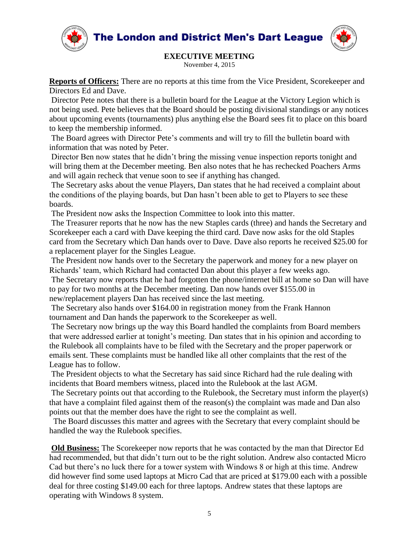



## **EXECUTIVE MEETING**

November 4, 2015

**Reports of Officers:** There are no reports at this time from the Vice President, Scorekeeper and Directors Ed and Dave.

Director Pete notes that there is a bulletin board for the League at the Victory Legion which is not being used. Pete believes that the Board should be posting divisional standings or any notices about upcoming events (tournaments) plus anything else the Board sees fit to place on this board to keep the membership informed.

The Board agrees with Director Pete's comments and will try to fill the bulletin board with information that was noted by Peter.

Director Ben now states that he didn't bring the missing venue inspection reports tonight and will bring them at the December meeting. Ben also notes that he has rechecked Poachers Arms and will again recheck that venue soon to see if anything has changed.

The Secretary asks about the venue Players, Dan states that he had received a complaint about the conditions of the playing boards, but Dan hasn't been able to get to Players to see these boards.

The President now asks the Inspection Committee to look into this matter.

The Treasurer reports that he now has the new Staples cards (three) and hands the Secretary and Scorekeeper each a card with Dave keeping the third card. Dave now asks for the old Staples card from the Secretary which Dan hands over to Dave. Dave also reports he received \$25.00 for a replacement player for the Singles League.

The President now hands over to the Secretary the paperwork and money for a new player on Richards' team, which Richard had contacted Dan about this player a few weeks ago.

The Secretary now reports that he had forgotten the phone/internet bill at home so Dan will have to pay for two months at the December meeting. Dan now hands over \$155.00 in new/replacement players Dan has received since the last meeting.

The Secretary also hands over \$164.00 in registration money from the Frank Hannon tournament and Dan hands the paperwork to the Scorekeeper as well.

The Secretary now brings up the way this Board handled the complaints from Board members that were addressed earlier at tonight's meeting. Dan states that in his opinion and according to the Rulebook all complaints have to be filed with the Secretary and the proper paperwork or emails sent. These complaints must be handled like all other complaints that the rest of the League has to follow.

The President objects to what the Secretary has said since Richard had the rule dealing with incidents that Board members witness, placed into the Rulebook at the last AGM.

The Secretary points out that according to the Rulebook, the Secretary must inform the player(s) that have a complaint filed against them of the reason(s) the complaint was made and Dan also points out that the member does have the right to see the complaint as well.

 The Board discusses this matter and agrees with the Secretary that every complaint should be handled the way the Rulebook specifies.

**Old Business:** The Scorekeeper now reports that he was contacted by the man that Director Ed had recommended, but that didn't turn out to be the right solution. Andrew also contacted Micro Cad but there's no luck there for a tower system with Windows 8 or high at this time. Andrew did however find some used laptops at Micro Cad that are priced at \$179.00 each with a possible deal for three costing \$149.00 each for three laptops. Andrew states that these laptops are operating with Windows 8 system.